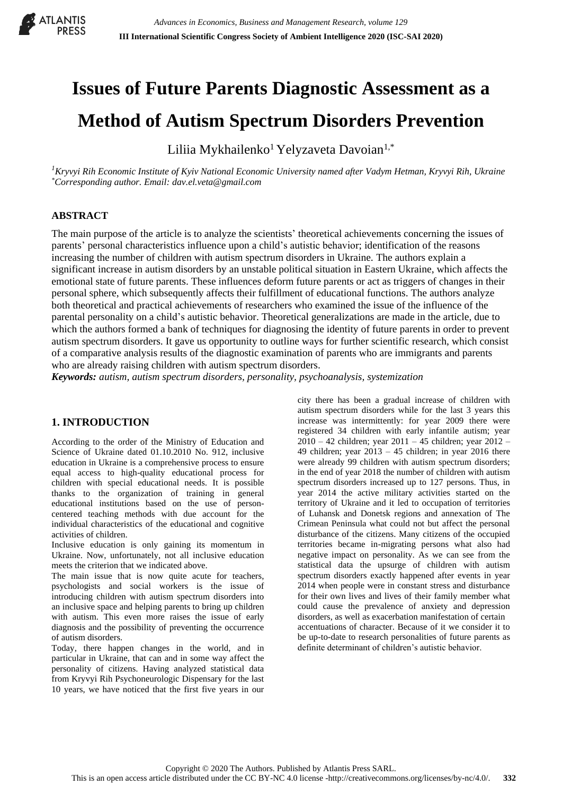

# **Issues of Future Parents Diagnostic Assessment as a**

# **Method of Autism Spectrum Disorders Prevention**

Liliia Mykhailenko<sup>1</sup> Yelyzaveta Davoian<sup>1,\*</sup>

*<sup>1</sup>Kryvyi Rih Economic Institute of Kyiv National Economic University named after Vadym Hetman, Kryvyi Rih, Ukraine \*Corresponding author. Email: dav.el.veta@gmail.com*

# **ABSTRACT**

The main purpose of the article is to analyze the scientists' theoretical achievements concerning the issues of parents' personal characteristics influence upon a child's autistic behavior; identification of the reasons increasing the number of children with autism spectrum disorders in Ukraine. The authors explain a significant increase in autism disorders by an unstable political situation in Eastern Ukraine, which affects the emotional state of future parents. These influences deform future parents or act as triggers of changes in their personal sphere, which subsequently affects their fulfillment of educational functions. The authors analyze both theoretical and practical achievements of researchers who examined the issue of the influence of the parental personality on a child's autistic behavior. Theoretical generalizations are made in the article, due to which the authors formed a bank of techniques for diagnosing the identity of future parents in order to prevent autism spectrum disorders. It gave us opportunity to outline ways for further scientific research, which consist of a comparative analysis results of the diagnostic examination of parents who are immigrants and parents who are already raising children with autism spectrum disorders.

*Keywords: autism, autism spectrum disorders, personality, psychoanalysis, systemization*

# **1. INTRODUCTION**

According to the order of the Ministry of Education and Science of Ukraine dated 01.10.2010 No. 912, inclusive education in Ukraine is a comprehensive process to ensure equal access to high-quality educational process for children with special educational needs. It is possible thanks to the organization of training in general educational institutions based on the use of personcentered teaching methods with due account for the individual characteristics of the educational and cognitive activities of children.

Inclusive education is only gaining its momentum in Ukraine. Now, unfortunately, not all inclusive education meets the criterion that we indicated above.

The main issue that is now quite acute for teachers, psychologists and social workers is the issue of introducing children with autism spectrum disorders into an inclusive space and helping parents to bring up children with autism. This even more raises the issue of early diagnosis and the possibility of preventing the occurrence of autism disorders.

Today, there happen changes in the world, and in particular in Ukraine, that can and in some way affect the personality of citizens. Having analyzed statistical data from Kryvyi Rih Psychoneurologic Dispensary for the last 10 years, we have noticed that the first five years in our

city there has been a gradual increase of children with autism spectrum disorders while for the last 3 years this increase was intermittently: for year 2009 there were registered 34 children with early infantile autism; year 2010 – 42 children; year 2011 – 45 children; year 2012 – 49 children; year  $2013 - 45$  children; in year 2016 there were already 99 children with autism spectrum disorders; in the end of year 2018 the number of children with autism spectrum disorders increased up to 127 persons. Thus, in year 2014 the active military activities started on the territory of Ukraine and it led to occupation of territories of Luhansk and Donetsk regions and annexation of The Crimean Peninsula what could not but affect the personal disturbance of the citizens. Many citizens of the occupied territories became in-migrating persons what also had negative impact on personality. As we can see from the statistical data the upsurge of children with autism spectrum disorders exactly happened after events in year 2014 when people were in constant stress and disturbance for their own lives and lives of their family member what could cause the prevalence of anxiety and depression disorders, as well as exacerbation manifestation of certain accentuations of character. Because of it we consider it to be up-to-date to research personalities of future parents as definite determinant of children's autistic behavior.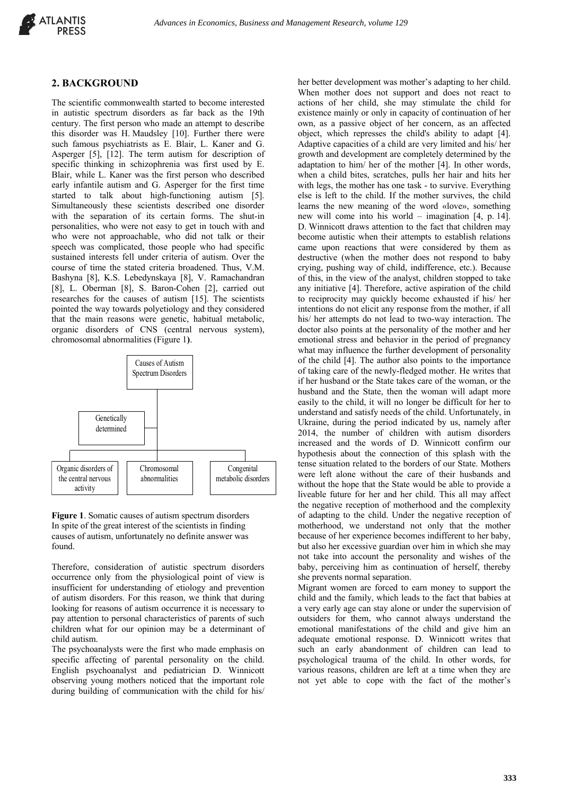

#### **2. BACKGROUND**

The scientific commonwealth started to become interested in autistic spectrum disorders as far back as the 19th century. The first person who made an attempt to describe this disorder was H. Maudsley [10]. Further there were such famous psychiatrists as E. Blair, L. Kaner and G. Asperger [5], [12]. The term autism for description of specific thinking in schizophrenia was first used by E. Blair, while L. Kaner was the first person who described early infantile autism and G. Asperger for the first time started to talk about high-functioning autism [5]. Simultaneously these scientists described one disorder with the separation of its certain forms. The shut-in personalities, who were not easy to get in touch with and who were not approachable, who did not talk or their speech was complicated, those people who had specific sustained interests fell under criteria of autism. Over the course of time the stated criteria broadened. Thus, V.M. Bashyna [8], K.S. Lebedynskaya [8], V. Ramachandran [8], L. Oberman [8], S. Baron-Cohen [2], carried out researches for the causes of autism [15]. The scientists pointed the way towards polyetiology and they considered that the main reasons were genetic, habitual metabolic, organic disorders of CNS (central nervous system), chromosomal abnormalities (Figure 1**)**.



**Figure 1**. Somatic causes of autism spectrum disorders In spite of the great interest of the scientists in finding causes of autism, unfortunately no definite answer was found.

Therefore, consideration of autistic spectrum disorders occurrence only from the physiological point of view is insufficient for understanding of etiology and prevention of autism disorders. For this reason, we think that during looking for reasons of autism occurrence it is necessary to pay attention to personal characteristics of parents of such children what for our opinion may be a determinant of child autism.

The psychoanalysts were the first who made emphasis on specific affecting of parental personality on the child. English psychoanalyst and pediatrician D. Winnicott observing young mothers noticed that the important role during building of communication with the child for his/

her better development was mother's adapting to her child. When mother does not support and does not react to actions of her child, she may stimulate the child for existence mainly or only in capacity of continuation of her own, as a passive object of her concern, as an affected object, which represses the child's ability to adapt [4]. Adaptive capacities of a child are very limited and his/ her growth and development are completely determined by the adaptation to him/ her of the mother [4]. In other words, when a child bites, scratches, pulls her hair and hits her with legs, the mother has one task - to survive. Everything else is left to the child. If the mother survives, the child learns the new meaning of the word «love», something new will come into his world – imagination [4, р. 14]. D. Winnicott draws attention to the fact that children may become autistic when their attempts to establish relations came upon reactions that were considered by them as destructive (when the mother does not respond to baby crying, pushing way of child, indifference, etc.). Because of this, in the view of the analyst, children stopped to take any initiative [4]. Therefore, active aspiration of the child to reciprocity may quickly become exhausted if his/ her intentions do not elicit any response from the mother, if all his/ her attempts do not lead to two-way interaction. The doctor also points at the personality of the mother and her emotional stress and behavior in the period of pregnancy what may influence the further development of personality of the child [4]. The author also points to the importance of taking care of the newly-fledged mother. He writes that if her husband or the State takes care of the woman, or the husband and the State, then the woman will adapt more easily to the child, it will no longer be difficult for her to understand and satisfy needs of the child. Unfortunately, in Ukraine, during the period indicated by us, namely after 2014, the number of children with autism disorders increased and the words of D. Winnicott confirm our hypothesis about the connection of this splash with the tense situation related to the borders of our State. Mothers were left alone without the care of their husbands and without the hope that the State would be able to provide a liveable future for her and her child. This all may affect the negative reception of motherhood and the complexity of adapting to the child. Under the negative reception of motherhood, we understand not only that the mother because of her experience becomes indifferent to her baby, but also her excessive guardian over him in which she may not take into account the personality and wishes of the baby, perceiving him as continuation of herself, thereby she prevents normal separation.

Migrant women are forced to earn money to support the child and the family, which leads to the fact that babies at a very early age can stay alone or under the supervision of outsiders for them, who cannot always understand the emotional manifestations of the child and give him an adequate emotional response. D. Winnicott writes that such an early abandonment of children can lead to psychological trauma of the child. In other words, for various reasons, children are left at a time when they are not yet able to cope with the fact of the mother's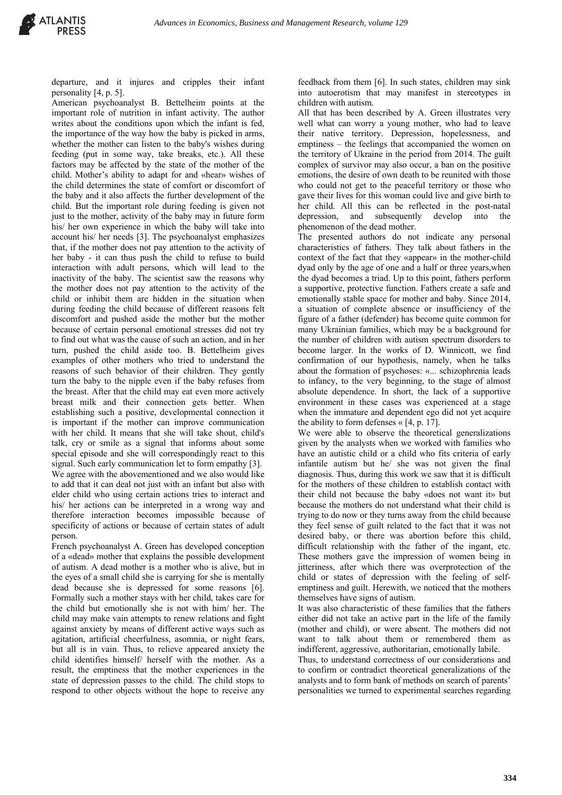departure, and it injures and cripples their infant personality [4, p. 5].

American psychoanalyst B. Bettelheim points at the important role of nutrition in infant activity. The author writes about the conditions upon which the infant is fed, the importance of the way how the baby is picked in arms, whether the mother can listen to the baby's wishes during feeding (put in some way, take breaks, etc.). All these factors may be affected by the state of the mother of the child. Mother's ability to adapt for and «hear» wishes of the child determines the state of comfort or discomfort of the baby and it also affects the further development of the child. But the important role during feeding is given not just to the mother, activity of the baby may in future form his/ her own experience in which the baby will take into account his/ her needs [3]. The psychoanalyst emphasizes that, if the mother does not pay attention to the activity of her baby - it can thus push the child to refuse to build interaction with adult persons, which will lead to the inactivity of the baby. The scientist saw the reasons why the mother does not pay attention to the activity of the child or inhibit them are hidden in the situation when during feeding the child because of different reasons felt discomfort and pushed aside the mother but the mother because of certain personal emotional stresses did not try to find out what was the cause of such an action, and in her turn, pushed the child aside too. B. Bettelheim gives examples of other mothers who tried to understand the reasons of such behavior of their children. They gently turn the baby to the nipple even if the baby refuses from the breast. After that the child may eat even more actively breast milk and their connection gets better. When establishing such a positive, developmental connection it is important if the mother can improve communication with her child. It means that she will take shout, child's talk, cry or smile as a signal that informs about some special episode and she will correspondingly react to this signal. Such early communication let to form empathy [3]. We agree with the abovementioned and we also would like to add that it can deal not just with an infant but also with elder child who using certain actions tries to interact and his/ her actions can be interpreted in a wrong way and therefore interaction becomes impossible because of specificity of actions or because of certain states of adult person.

French psychoanalyst A. Green has developed conception of a «dead» mother that explains the possible development of autism. A dead mother is a mother who is alive, but in the eyes of a small child she is carrying for she is mentally dead because she is depressed for some reasons [6]. Formally such a mother stays with her child, takes care for the child but emotionally she is not with him/ her. The child may make vain attempts to renew relations and fight against anxiety by means of different active ways such as agitation, artificial cheerfulness, asomnia, or night fears, but all is in vain. Thus, to relieve appeared anxiety the child identifies himself/ herself with the mother. As a result, the emptiness that the mother experiences in the state of depression passes to the child. The child stops to respond to other objects without the hope to receive any feedback from them [6]. In such states, children may sink into autoerotism that may manifest in stereotypes in children with autism.

All that has been described by A. Green illustrates very well what can worry a young mother, who had to leave their native territory. Depression, hopelessness, and emptiness – the feelings that accompanied the women on the territory of Ukraine in the period from 2014. The guilt complex of survivor may also occur, a ban on the positive emotions, the desire of own death to be reunited with those who could not get to the peaceful territory or those who gave their lives for this woman could live and give birth to her child. All this can be reflected in the post-natal depression, and subsequently develop into the phenomenon of the dead mother.

The presented authors do not indicate any personal characteristics of fathers. They talk about fathers in the context of the fact that they «appear» in the mother-child dyad only by the age of one and a half or three years,when the dyad becomes a triad. Up to this point, fathers perform a supportive, protective function. Fathers create a safe and emotionally stable space for mother and baby. Since 2014, a situation of complete absence or insufficiency of the figure of a father (defender) has become quite common for many Ukrainian families, which may be a background for the number of children with autism spectrum disorders to become larger. In the works of D. Winnicott, we find confirmation of our hypothesis, namely, when he talks about the formation of psychoses: «... schizophrenia leads to infancy, to the very beginning, to the stage of almost absolute dependence. In short, the lack of a supportive environment in these cases was experienced at a stage when the immature and dependent ego did not yet acquire the ability to form defenses  $\kappa$  [4, p. 17].

We were able to observe the theoretical generalizations given by the analysts when we worked with families who have an autistic child or a child who fits criteria of early infantile autism but he/ she was not given the final diagnosis. Thus, during this work we saw that it is difficult for the mothers of these children to establish contact with their child not because the baby «does not want it» but because the mothers do not understand what their child is trying to do now or they turns away from the child because they feel sense of guilt related to the fact that it was not desired baby, or there was abortion before this child, difficult relationship with the father of the ingant, etc. These mothers gave the impression of women being in jitteriness, after which there was overprotection of the child or states of depression with the feeling of selfemptiness and guilt. Herewith, we noticed that the mothers themselves have signs of autism.

It was also characteristic of these families that the fathers either did not take an active part in the life of the family (mother and child), or were absent. The mothers did not want to talk about them or remembered them as indifferent, aggressive, authoritarian, emotionally labile.

Thus, to understand correctness of our considerations and to confirm or contradict theoretical generalizations of the analysts and to form bank of methods on search of parents' personalities we turned to experimental searches regarding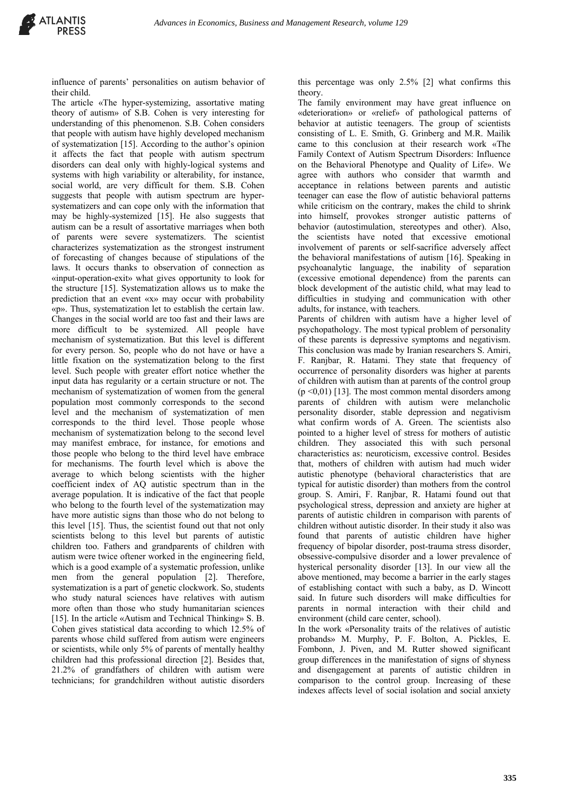influence of parents' personalities on autism behavior of their child.

The article «The hyper-systemizing, assortative mating theory of autism» of S.B. Cohen is very interesting for understanding of this phenomenon. S.B. Cohen considers that people with autism have highly developed mechanism of systematization [15]. According to the author's opinion it affects the fact that people with autism spectrum disorders can deal only with highly-logical systems and systems with high variability or alterability, for instance, social world, are very difficult for them. S.B. Cohen suggests that people with autism spectrum are hypersystematizers and can cope only with the information that may be highly-systemized [15]. He also suggests that autism can be a result of assortative marriages when both of parents were severe systematizers. The scientist characterizes systematization as the strongest instrument of forecasting of changes because of stipulations of the laws. It occurs thanks to observation of connection as «input-operation-exit» what gives opportunity to look for the structure [15]. Systematization allows us to make the prediction that an event «x» may occur with probability «p». Thus, systematization let to establish the certain law. Changes in the social world are too fast and their laws are more difficult to be systemized. All people have mechanism of systematization. But this level is different for every person. So, people who do not have or have a little fixation on the systematization belong to the first level. Such people with greater effort notice whether the input data has regularity or a certain structure or not. The mechanism of systematization of women from the general population most commonly corresponds to the second level and the mechanism of systematization of men corresponds to the third level. Those people whose mechanism of systematization belong to the second level may manifest embrace, for instance, for emotions and those people who belong to the third level have embrace for mechanisms. The fourth level which is above the average to which belong scientists with the higher coefficient index of AQ autistic spectrum than in the average population. It is indicative of the fact that people who belong to the fourth level of the systematization may have more autistic signs than those who do not belong to this level [15]. Thus, the scientist found out that not only scientists belong to this level but parents of autistic children too. Fathers and grandparents of children with autism were twice oftener worked in the engineering field, which is a good example of a systematic profession, unlike men from the general population [2]. Therefore, systematization is a part of genetic clockwork. So, students who study natural sciences have relatives with autism more often than those who study humanitarian sciences [15]. In the article «Autism and Technical Thinking» S. B. Cohen gives statistical data according to which 12.5% of parents whose child suffered from autism were engineers or scientists, while only 5% of parents of mentally healthy children had this professional direction [2]. Besides that, 21.2% of grandfathers of children with autism were technicians; for grandchildren without autistic disorders

this percentage was only 2.5% [2] what confirms this theory.

The family environment may have great influence on «deterioration» or «relief» of pathological patterns of behavior at autistic teenagers. The group of scientists consisting of L. E. Smith, G. Grinberg and M.R. Mailik came to this conclusion at their research work «The Family Context of Autism Spectrum Disorders: Influence on the Behavioral Phenotype and Quality of Life». We agree with authors who consider that warmth and acceptance in relations between parents and autistic teenager can ease the flow of autistic behavioral patterns while criticism on the contrary, makes the child to shrink into himself, provokes stronger autistic patterns of behavior (autostimulation, stereotypes and other). Also, the scientists have noted that excessive emotional involvement of parents or self-sacrifice adversely affect the behavioral manifestations of autism [16]. Speaking in psychoanalytic language, the inability of separation (excessive emotional dependence) from the parents can block development of the autistic child, what may lead to difficulties in studying and communication with other adults, for instance, with teachers. Parents of children with autism have a higher level of

psychopathology. The most typical problem of personality of these parents is depressive symptoms and negativism. This conclusion was made by Iranian researchers S. Amiri, F. Ranjbar, R. Hatami. They state that frequency of occurrence of personality disorders was higher at parents of children with autism than at parents of the control group  $(p \le 0.01)$  [13]. The most common mental disorders among parents of children with autism were melancholic personality disorder, stable depression and negativism what confirm words of A. Green. The scientists also pointed to a higher level of stress for mothers of autistic children. They associated this with such personal characteristics as: neuroticism, excessive control. Besides that, mothers of children with autism had much wider autistic phenotype (behavioral characteristics that are typical for autistic disorder) than mothers from the control group. S. Amiri, F. Ranjbar, R. Hatami found out that psychological stress, depression and anxiety are higher at parents of autistic children in comparison with parents of children without autistic disorder. In their study it also was found that parents of autistic children have higher frequency of bipolar disorder, post-trauma stress disorder, obsessive-compulsive disorder and a lower prevalence of hysterical personality disorder [13]. In our view all the above mentioned, may become a barrier in the early stages of establishing contact with such a baby, as D. Wincott said. In future such disorders will make difficulties for parents in normal interaction with their child and environment (child care center, school).

In the work «Personality traits of the relatives of autistic probands» M. Murphy, P. F. Bolton, A. Pickles, E. Fombonn, J. Piven, and M. Rutter showed significant group differences in the manifestation of signs of shyness and disengagement at parents of autistic children in comparison to the control group. Increasing of these indexes affects level of social isolation and social anxiety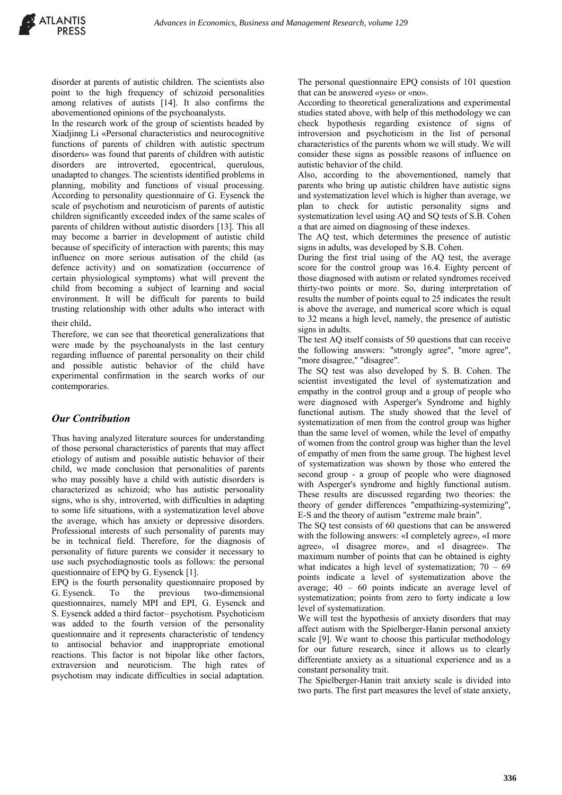disorder at parents of autistic children. The scientists also point to the high frequency of schizoid personalities among relatives of autists [14]. It also confirms the abovementioned opinions of the psychoanalysts.

In the research work of the group of scientists headed by Xiadjinng Li «Personal characteristics and neurocognitive functions of parents of children with autistic spectrum disorders» was found that parents of children with autistic disorders are introverted, egocentrical, querulous, unadapted to changes. The scientists identified problems in planning, mobility and functions of visual processing. According to personality questionnaire of G. Eysenck the scale of psychotism and neuroticism of parents of autistic children significantly exceeded index of the same scales of parents of children without autistic disorders [13]. This all may become a barrier in development of autistic child because of specificity of interaction with parents; this may influence on more serious autisation of the child (as defence activity) and on somatization (occurrence of certain physiological symptoms) what will prevent the child from becoming a subject of learning and social environment. It will be difficult for parents to build trusting relationship with other adults who interact with

#### their child.

Therefore, we can see that theoretical generalizations that were made by the psychoanalysts in the last century regarding influence of parental personality on their child and possible autistic behavior of the child have experimental confirmation in the search works of our contemporaries.

# *Our Contribution*

Thus having analyzed literature sources for understanding of those personal characteristics of parents that may affect etiology of autism and possible autistic behavior of their child, we made conclusion that personalities of parents who may possibly have a child with autistic disorders is characterized as schizoid; who has autistic personality signs, who is shy, introverted, with difficulties in adapting to some life situations, with a systematization level above the average, which has anxiety or depressive disorders. Professional interests of such personality of parents may be in technical field. Therefore, for the diagnosis of personality of future parents we consider it necessary to use such psychodiagnostic tools as follows: the personal questionnaire of EPQ by G. Eysenck [1].

EPQ is the fourth personality questionnaire proposed by G. Eysenck. To the previous two-dimensional questionnaires, namely MPI and EPI, G. Eysenck and S. Eysenck added a third factor– psychotism. Psychoticism was added to the fourth version of the personality questionnaire and it represents characteristic of tendency to antisocial behavior and inappropriate emotional reactions. This factor is not bipolar like other factors, extraversion and neuroticism. The high rates of psychotism may indicate difficulties in social adaptation.

The personal questionnaire EPQ consists of 101 question that can be answered «yes» or «no».

According to theoretical generalizations and experimental studies stated above, with help of this methodology we can check hypothesis regarding existence of signs of introversion and psychoticism in the list of personal characteristics of the parents whom we will study. We will consider these signs as possible reasons of influence on autistic behavior of the child.

Also, according to the abovementioned, namely that parents who bring up autistic children have autistic signs and systematization level which is higher than average, we plan to check for autistic personality signs and systematization level using AQ and SQ tests of S.B. Cohen a that are aimed on diagnosing of these indexes.

The AQ test, which determines the presence of autistic signs in adults, was developed by S.B. Cohen.

During the first trial using of the AQ test, the average score for the control group was 16.4. Eighty percent of those diagnosed with autism or related syndromes received thirty-two points or more. So, during interpretation of results the number of points equal to 25 indicates the result is above the average, and numerical score which is equal to 32 means a high level, namely, the presence of autistic signs in adults.

The test AQ itself consists of 50 questions that can receive the following answers: "strongly agree", "more agree", "more disagree," "disagree".

The SQ test was also developed by S. B. Cohen. The scientist investigated the level of systematization and empathy in the control group and a group of people who were diagnosed with Asperger's Syndrome and highly functional autism. The study showed that the level of systematization of men from the control group was higher than the same level of women, while the level of empathy of women from the control group was higher than the level of empathy of men from the same group. The highest level of systematization was shown by those who entered the second group - a group of people who were diagnosed with Asperger's syndrome and highly functional autism. These results are discussed regarding two theories: the theory of gender differences "empathizing-systemizing", E-S and the theory of autism "extreme male brain".

The SQ test consists of 60 questions that can be answered with the following answers: «I completely agree», «I more agree», «I disagree more», and «I disagree». The maximum number of points that can be obtained is eighty what indicates a high level of systematization;  $70 - 69$ points indicate a level of systematization above the average; 40 – 60 points indicate an average level of systematization; points from zero to forty indicate a low level of systematization.

We will test the hypothesis of anxiety disorders that may affect autism with the Spielberger-Hanin personal anxiety scale [9]. We want to choose this particular methodology for our future research, since it allows us to clearly differentiate anxiety as a situational experience and as a constant personality trait.

The Spielberger-Hanin trait anxiety scale is divided into two parts. The first part measures the level of state anxiety,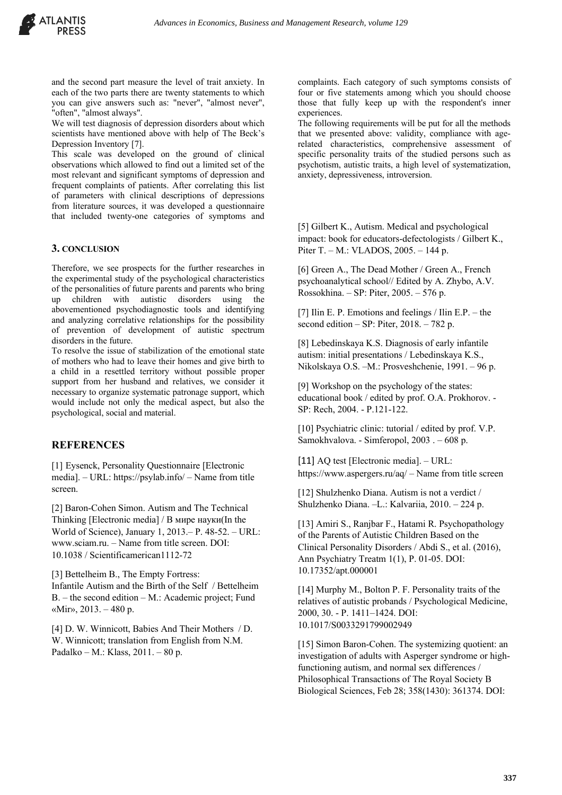

and the second part measure the level of trait anxiety. In each of the two parts there are twenty statements to which you can give answers such as: "never", "almost never", "often", "almost always".

We will test diagnosis of depression disorders about which scientists have mentioned above with help of The Beck's Depression Inventory [7].

This scale was developed on the ground of clinical observations which allowed to find out a limited set of the most relevant and significant symptoms of depression and frequent complaints of patients. After correlating this list of parameters with clinical descriptions of depressions from literature sources, it was developed a questionnaire that included twenty-one categories of symptoms and

#### **3. CONCLUSION**

Therefore, we see prospects for the further researches in the experimental study of the psychological characteristics of the personalities of future parents and parents who bring up children with autistic disorders using the abovementioned psychodiagnostic tools and identifying and analyzing correlative relationships for the possibility of prevention of development of autistic spectrum disorders in the future.

To resolve the issue of stabilization of the emotional state of mothers who had to leave their homes and give birth to a child in a resettled territory without possible proper support from her husband and relatives, we consider it necessary to organize systematic patronage support, which would include not only the medical aspect, but also the psychological, social and material.

#### **REFERENCES**

[1] Eysenck, Personality Questionnaire [Electronic media]. – URL: https://psylab.info/ – Name from title screen.

[2] Baron-Cohen Simon. Autism and The Technical Thinking [Electronic media] / В мире науки(In the World of Science), January 1, 2013.– P. 48-52. – URL: www.sciam.ru. – Name from title screen. DOI: 10.1038 / Scientificamerican1112-72

[3] Bettelheim B., The Empty Fortress: Infantile Autism and the Birth of the Self / Bettelheim B. – the second edition – M.: Academic project; Fund «Mir», 2013. – 480 p.

[4] D. W. Winnicott, Babies And Their Mothers / D. W. Winnicott; translation from English from N.M. Padalko – М.: Klass, 2011. – 80 p.

complaints. Each category of such symptoms consists of four or five statements among which you should choose those that fully keep up with the respondent's inner experiences.

The following requirements will be put for all the methods that we presented above: validity, compliance with agerelated characteristics, comprehensive assessment of specific personality traits of the studied persons such as psychotism, autistic traits, a high level of systematization, anxiety, depressiveness, introversion.

[5] Gilbert K., Autism. Medical and psychological impact: book for educators-defectologists / Gilbert K., Piter T. – М.: VLADOS, 2005. – 144 p.

[6] Green A., The Dead Mother / Green A., French psychoanalytical school// Edited by A. Zhybo, A.V. Rossokhina. – SP: Piter, 2005. – 576 p.

[7] Ilin E. P. Emotions and feelings / Ilin E.P. – the second edition – SP: Piter, 2018. – 782 p.

[8] Lebedinskaya K.S. Diagnosis of early infantile autism: initial presentations / Lebedinskaya K.S., Nikolskaya O.S. –M.: Prosveshchenie, 1991. – 96 p.

[9] Workshop on the psychology of the states: educational book / edited by prof. O.A. Prokhorov. - SP: Rech, 2004. - P.121-122.

[10] Psychiatric clinic: tutorial / edited by prof. V.P. Samokhvalova. - Simferopol, 2003 . – 608 p.

[11] AO test [Electronic media]. – URL: https://www.aspergers.ru/aq/ – Name from title screen

[12] Shulzhenko Diana. Autism is not a verdict / Shulzhenko Diana. –L.: Kalvariia, 2010. – 224 p.

[13] Amiri S., Ranjbar F., Hatami R. Psychopathology of the Parents of Autistic Children Based on the Clinical Personality Disorders / Abdi S., et al. (2016), Ann Psychiatry Treatm 1(1), P. 01-05. DOI: 10.17352/apt.000001

[14] Murphy M., Bolton P. F. Personality traits of the relatives of autistic probands / Psychological Medicine, 2000, 30. - Р. 1411–1424. DOI: 10.1017/S0033291799002949

[15] Simon Baron-Cohen. The systemizing quotient: an investigation of adults with Asperger syndrome or highfunctioning autism, and normal sex differences / Philosophical Transactions of The Royal Society B Biological Sciences, Feb 28; 358(1430): 361374. DOI: